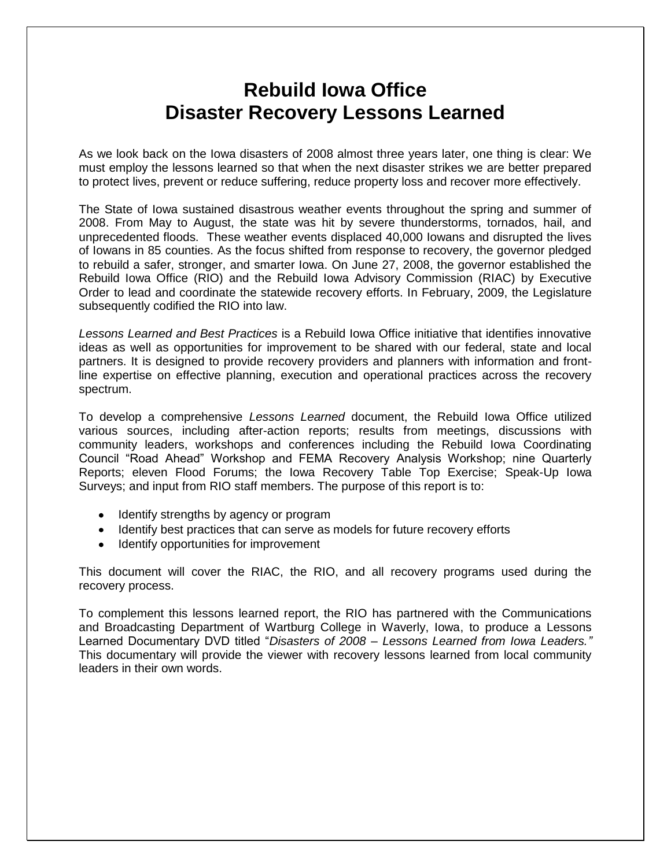# **Rebuild Iowa Office Disaster Recovery Lessons Learned**

As we look back on the Iowa disasters of 2008 almost three years later, one thing is clear: We must employ the lessons learned so that when the next disaster strikes we are better prepared to protect lives, prevent or reduce suffering, reduce property loss and recover more effectively.

The State of Iowa sustained disastrous weather events throughout the spring and summer of 2008. From May to August, the state was hit by severe thunderstorms, tornados, hail, and unprecedented floods. These weather events displaced 40,000 Iowans and disrupted the lives of Iowans in 85 counties. As the focus shifted from response to recovery, the governor pledged to rebuild a safer, stronger, and smarter Iowa. On June 27, 2008, the governor established the Rebuild Iowa Office (RIO) and the Rebuild Iowa Advisory Commission (RIAC) by Executive Order to lead and coordinate the statewide recovery efforts. In February, 2009, the Legislature subsequently codified the RIO into law.

*Lessons Learned and Best Practices* is a Rebuild Iowa Office initiative that identifies innovative ideas as well as opportunities for improvement to be shared with our federal, state and local partners. It is designed to provide recovery providers and planners with information and frontline expertise on effective planning, execution and operational practices across the recovery spectrum.

To develop a comprehensive *Lessons Learned* document, the Rebuild Iowa Office utilized various sources, including after-action reports; results from meetings, discussions with community leaders, workshops and conferences including the Rebuild Iowa Coordinating Council "Road Ahead" Workshop and FEMA Recovery Analysis Workshop; nine Quarterly Reports; eleven Flood Forums; the Iowa Recovery Table Top Exercise; Speak-Up Iowa Surveys; and input from RIO staff members. The purpose of this report is to:

- Identify strengths by agency or program
- Identify best practices that can serve as models for future recovery efforts
- Identify opportunities for improvement

This document will cover the RIAC, the RIO, and all recovery programs used during the recovery process.

To complement this lessons learned report, the RIO has partnered with the Communications and Broadcasting Department of Wartburg College in Waverly, Iowa, to produce a Lessons Learned Documentary DVD titled "*Disasters of 2008 – Lessons Learned from Iowa Leaders."* This documentary will provide the viewer with recovery lessons learned from local community leaders in their own words.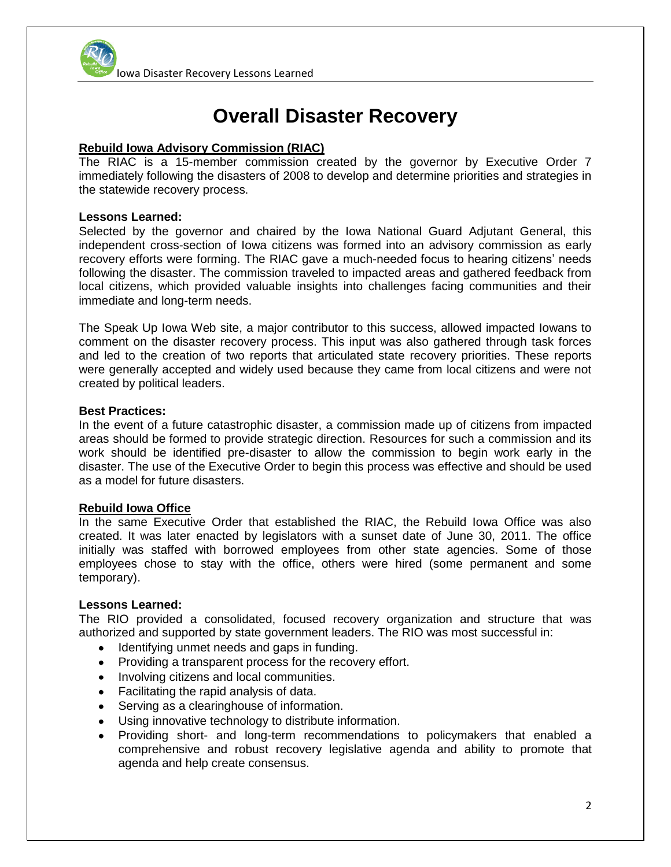

# **Overall Disaster Recovery**

# **Rebuild Iowa Advisory Commission (RIAC)**

The RIAC is a 15-member commission created by the governor by Executive Order 7 immediately following the disasters of 2008 to develop and determine priorities and strategies in the statewide recovery process.

## **Lessons Learned:**

Selected by the governor and chaired by the Iowa National Guard Adjutant General, this independent cross-section of Iowa citizens was formed into an advisory commission as early recovery efforts were forming. The RIAC gave a much-needed focus to hearing citizens' needs following the disaster. The commission traveled to impacted areas and gathered feedback from local citizens, which provided valuable insights into challenges facing communities and their immediate and long-term needs.

The Speak Up Iowa Web site, a major contributor to this success, allowed impacted Iowans to comment on the disaster recovery process. This input was also gathered through task forces and led to the creation of two reports that articulated state recovery priorities. These reports were generally accepted and widely used because they came from local citizens and were not created by political leaders.

## **Best Practices:**

In the event of a future catastrophic disaster, a commission made up of citizens from impacted areas should be formed to provide strategic direction. Resources for such a commission and its work should be identified pre-disaster to allow the commission to begin work early in the disaster. The use of the Executive Order to begin this process was effective and should be used as a model for future disasters.

# **Rebuild Iowa Office**

In the same Executive Order that established the RIAC, the Rebuild Iowa Office was also created. It was later enacted by legislators with a sunset date of June 30, 2011. The office initially was staffed with borrowed employees from other state agencies. Some of those employees chose to stay with the office, others were hired (some permanent and some temporary).

#### **Lessons Learned:**

The RIO provided a consolidated, focused recovery organization and structure that was authorized and supported by state government leaders. The RIO was most successful in:

- Identifying unmet needs and gaps in funding.
- Providing a transparent process for the recovery effort.
- Involving citizens and local communities.
- Facilitating the rapid analysis of data.
- Serving as a clearinghouse of information.
- Using innovative technology to distribute information.
- Providing short- and long-term recommendations to policymakers that enabled a comprehensive and robust recovery legislative agenda and ability to promote that agenda and help create consensus.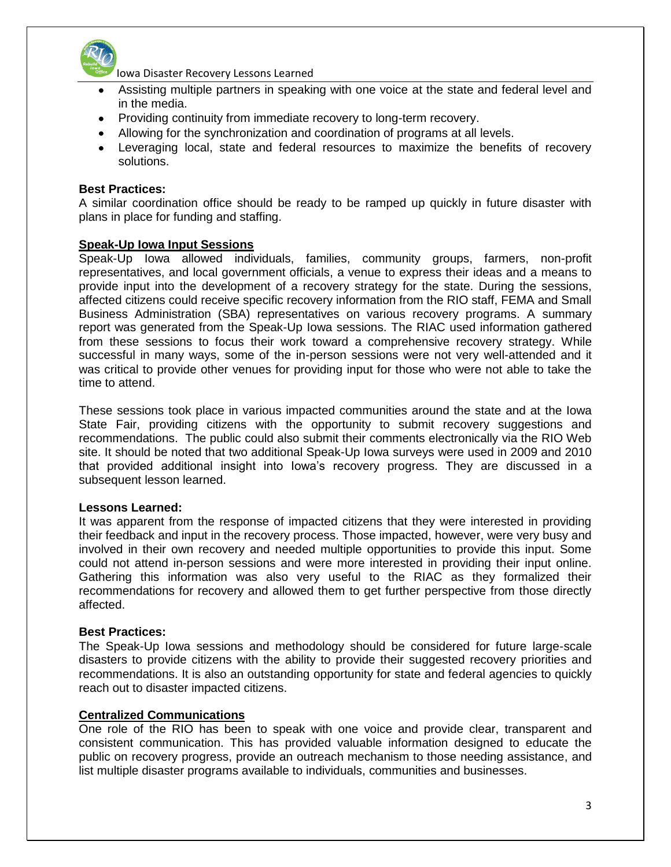

- Assisting multiple partners in speaking with one voice at the state and federal level and in the media.
- Providing continuity from immediate recovery to long-term recovery.
- Allowing for the synchronization and coordination of programs at all levels.
- Leveraging local, state and federal resources to maximize the benefits of recovery solutions.

#### **Best Practices:**

A similar coordination office should be ready to be ramped up quickly in future disaster with plans in place for funding and staffing.

#### **Speak-Up Iowa Input Sessions**

Speak-Up Iowa allowed individuals, families, community groups, farmers, non-profit representatives, and local government officials, a venue to express their ideas and a means to provide input into the development of a recovery strategy for the state. During the sessions, affected citizens could receive specific recovery information from the RIO staff, FEMA and Small Business Administration (SBA) representatives on various recovery programs. A summary report was generated from the Speak-Up Iowa sessions. The RIAC used information gathered from these sessions to focus their work toward a comprehensive recovery strategy. While successful in many ways, some of the in-person sessions were not very well-attended and it was critical to provide other venues for providing input for those who were not able to take the time to attend.

These sessions took place in various impacted communities around the state and at the Iowa State Fair, providing citizens with the opportunity to submit recovery suggestions and recommendations. The public could also submit their comments electronically via the RIO Web site. It should be noted that two additional Speak-Up Iowa surveys were used in 2009 and 2010 that provided additional insight into Iowa's recovery progress. They are discussed in a subsequent lesson learned.

#### **Lessons Learned:**

It was apparent from the response of impacted citizens that they were interested in providing their feedback and input in the recovery process. Those impacted, however, were very busy and involved in their own recovery and needed multiple opportunities to provide this input. Some could not attend in-person sessions and were more interested in providing their input online. Gathering this information was also very useful to the RIAC as they formalized their recommendations for recovery and allowed them to get further perspective from those directly affected.

## **Best Practices:**

The Speak-Up Iowa sessions and methodology should be considered for future large-scale disasters to provide citizens with the ability to provide their suggested recovery priorities and recommendations. It is also an outstanding opportunity for state and federal agencies to quickly reach out to disaster impacted citizens.

#### **Centralized Communications**

One role of the RIO has been to speak with one voice and provide clear, transparent and consistent communication. This has provided valuable information designed to educate the public on recovery progress, provide an outreach mechanism to those needing assistance, and list multiple disaster programs available to individuals, communities and businesses.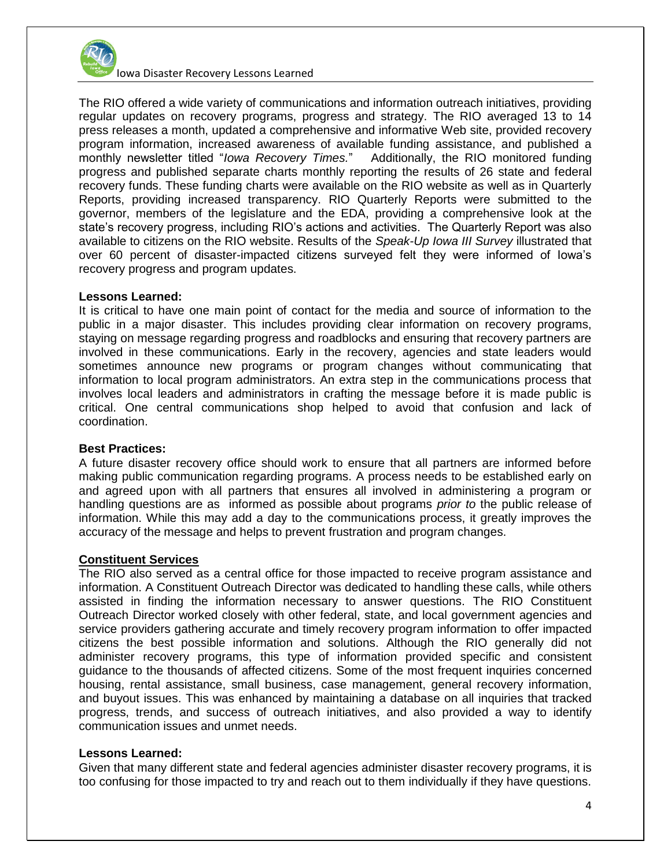

The RIO offered a wide variety of communications and information outreach initiatives, providing regular updates on recovery programs, progress and strategy. The RIO averaged 13 to 14 press releases a month, updated a comprehensive and informative Web site, provided recovery program information, increased awareness of available funding assistance, and published a monthly newsletter titled "*Iowa Recovery Times.*" Additionally, the RIO monitored funding progress and published separate charts monthly reporting the results of 26 state and federal recovery funds. These funding charts were available on the RIO website as well as in Quarterly Reports, providing increased transparency. RIO Quarterly Reports were submitted to the governor, members of the legislature and the EDA, providing a comprehensive look at the state's recovery progress, including RIO's actions and activities. The Quarterly Report was also available to citizens on the RIO website. Results of the *Speak-Up Iowa III Survey* illustrated that over 60 percent of disaster-impacted citizens surveyed felt they were informed of Iowa's recovery progress and program updates.

#### **Lessons Learned:**

It is critical to have one main point of contact for the media and source of information to the public in a major disaster. This includes providing clear information on recovery programs, staying on message regarding progress and roadblocks and ensuring that recovery partners are involved in these communications. Early in the recovery, agencies and state leaders would sometimes announce new programs or program changes without communicating that information to local program administrators. An extra step in the communications process that involves local leaders and administrators in crafting the message before it is made public is critical. One central communications shop helped to avoid that confusion and lack of coordination.

#### **Best Practices:**

A future disaster recovery office should work to ensure that all partners are informed before making public communication regarding programs. A process needs to be established early on and agreed upon with all partners that ensures all involved in administering a program or handling questions are as informed as possible about programs *prior to* the public release of information. While this may add a day to the communications process, it greatly improves the accuracy of the message and helps to prevent frustration and program changes.

# **Constituent Services**

The RIO also served as a central office for those impacted to receive program assistance and information. A Constituent Outreach Director was dedicated to handling these calls, while others assisted in finding the information necessary to answer questions. The RIO Constituent Outreach Director worked closely with other federal, state, and local government agencies and service providers gathering accurate and timely recovery program information to offer impacted citizens the best possible information and solutions. Although the RIO generally did not administer recovery programs, this type of information provided specific and consistent guidance to the thousands of affected citizens. Some of the most frequent inquiries concerned housing, rental assistance, small business, case management, general recovery information, and buyout issues. This was enhanced by maintaining a database on all inquiries that tracked progress, trends, and success of outreach initiatives, and also provided a way to identify communication issues and unmet needs.

# **Lessons Learned:**

Given that many different state and federal agencies administer disaster recovery programs, it is too confusing for those impacted to try and reach out to them individually if they have questions.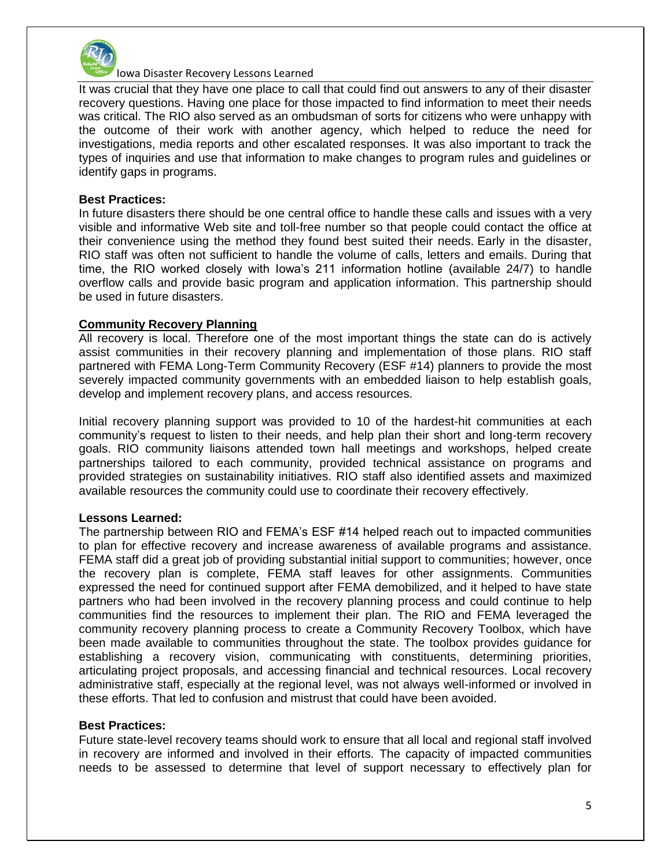

It was crucial that they have one place to call that could find out answers to any of their disaster recovery questions. Having one place for those impacted to find information to meet their needs was critical. The RIO also served as an ombudsman of sorts for citizens who were unhappy with the outcome of their work with another agency, which helped to reduce the need for investigations, media reports and other escalated responses. It was also important to track the types of inquiries and use that information to make changes to program rules and guidelines or identify gaps in programs.

#### **Best Practices:**

In future disasters there should be one central office to handle these calls and issues with a very visible and informative Web site and toll-free number so that people could contact the office at their convenience using the method they found best suited their needs. Early in the disaster, RIO staff was often not sufficient to handle the volume of calls, letters and emails. During that time, the RIO worked closely with Iowa's 211 information hotline (available 24/7) to handle overflow calls and provide basic program and application information. This partnership should be used in future disasters.

## **Community Recovery Planning**

All recovery is local. Therefore one of the most important things the state can do is actively assist communities in their recovery planning and implementation of those plans. RIO staff partnered with FEMA Long-Term Community Recovery (ESF #14) planners to provide the most severely impacted community governments with an embedded liaison to help establish goals, develop and implement recovery plans, and access resources.

Initial recovery planning support was provided to 10 of the hardest-hit communities at each community's request to listen to their needs, and help plan their short and long-term recovery goals. RIO community liaisons attended town hall meetings and workshops, helped create partnerships tailored to each community, provided technical assistance on programs and provided strategies on sustainability initiatives. RIO staff also identified assets and maximized available resources the community could use to coordinate their recovery effectively.

# **Lessons Learned:**

The partnership between RIO and FEMA's ESF #14 helped reach out to impacted communities to plan for effective recovery and increase awareness of available programs and assistance. FEMA staff did a great job of providing substantial initial support to communities; however, once the recovery plan is complete, FEMA staff leaves for other assignments. Communities expressed the need for continued support after FEMA demobilized, and it helped to have state partners who had been involved in the recovery planning process and could continue to help communities find the resources to implement their plan. The RIO and FEMA leveraged the community recovery planning process to create a Community Recovery Toolbox, which have been made available to communities throughout the state. The toolbox provides guidance for establishing a recovery vision, communicating with constituents, determining priorities, articulating project proposals, and accessing financial and technical resources. Local recovery administrative staff, especially at the regional level, was not always well-informed or involved in these efforts. That led to confusion and mistrust that could have been avoided.

#### **Best Practices:**

Future state-level recovery teams should work to ensure that all local and regional staff involved in recovery are informed and involved in their efforts. The capacity of impacted communities needs to be assessed to determine that level of support necessary to effectively plan for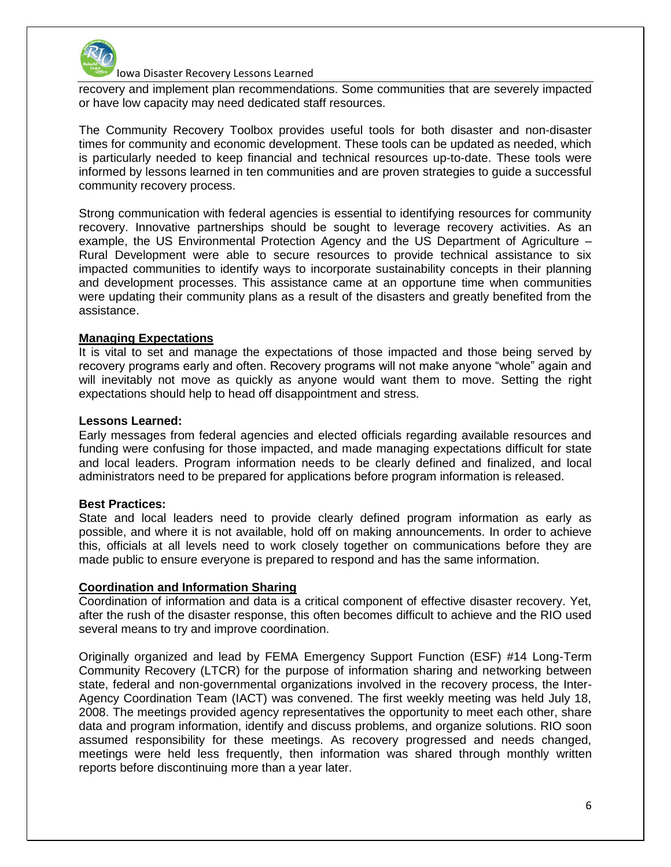

recovery and implement plan recommendations. Some communities that are severely impacted or have low capacity may need dedicated staff resources.

The Community Recovery Toolbox provides useful tools for both disaster and non-disaster times for community and economic development. These tools can be updated as needed, which is particularly needed to keep financial and technical resources up-to-date. These tools were informed by lessons learned in ten communities and are proven strategies to guide a successful community recovery process.

Strong communication with federal agencies is essential to identifying resources for community recovery. Innovative partnerships should be sought to leverage recovery activities. As an example, the US Environmental Protection Agency and the US Department of Agriculture – Rural Development were able to secure resources to provide technical assistance to six impacted communities to identify ways to incorporate sustainability concepts in their planning and development processes. This assistance came at an opportune time when communities were updating their community plans as a result of the disasters and greatly benefited from the assistance.

## **Managing Expectations**

It is vital to set and manage the expectations of those impacted and those being served by recovery programs early and often. Recovery programs will not make anyone "whole" again and will inevitably not move as quickly as anyone would want them to move. Setting the right expectations should help to head off disappointment and stress.

#### **Lessons Learned:**

Early messages from federal agencies and elected officials regarding available resources and funding were confusing for those impacted, and made managing expectations difficult for state and local leaders. Program information needs to be clearly defined and finalized, and local administrators need to be prepared for applications before program information is released.

#### **Best Practices:**

State and local leaders need to provide clearly defined program information as early as possible, and where it is not available, hold off on making announcements. In order to achieve this, officials at all levels need to work closely together on communications before they are made public to ensure everyone is prepared to respond and has the same information.

#### **Coordination and Information Sharing**

Coordination of information and data is a critical component of effective disaster recovery. Yet, after the rush of the disaster response, this often becomes difficult to achieve and the RIO used several means to try and improve coordination.

Originally organized and lead by FEMA Emergency Support Function (ESF) #14 Long-Term Community Recovery (LTCR) for the purpose of information sharing and networking between state, federal and non-governmental organizations involved in the recovery process, the Inter-Agency Coordination Team (IACT) was convened. The first weekly meeting was held July 18, 2008. The meetings provided agency representatives the opportunity to meet each other, share data and program information, identify and discuss problems, and organize solutions. RIO soon assumed responsibility for these meetings. As recovery progressed and needs changed, meetings were held less frequently, then information was shared through monthly written reports before discontinuing more than a year later.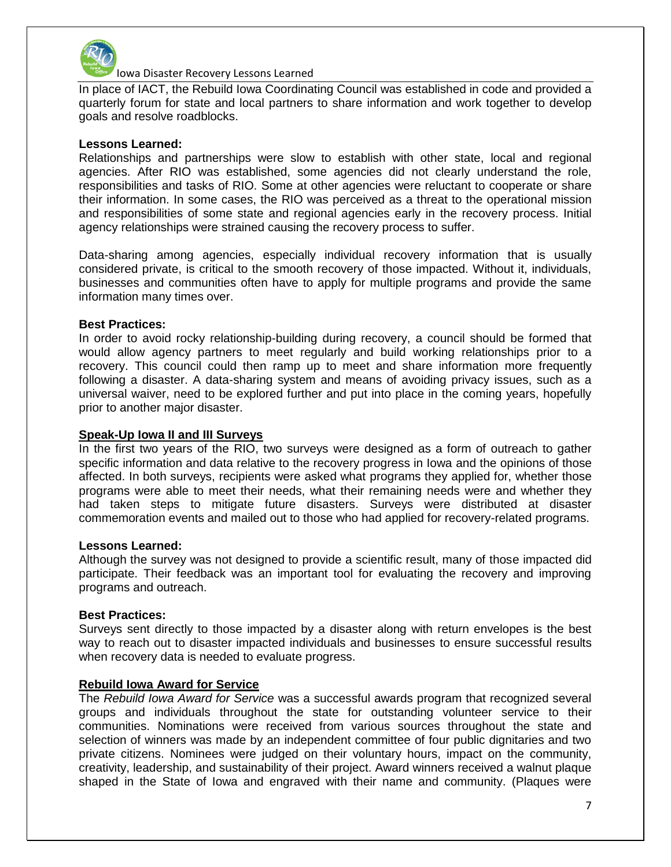

In place of IACT, the Rebuild Iowa Coordinating Council was established in code and provided a quarterly forum for state and local partners to share information and work together to develop goals and resolve roadblocks.

#### **Lessons Learned:**

Relationships and partnerships were slow to establish with other state, local and regional agencies. After RIO was established, some agencies did not clearly understand the role, responsibilities and tasks of RIO. Some at other agencies were reluctant to cooperate or share their information. In some cases, the RIO was perceived as a threat to the operational mission and responsibilities of some state and regional agencies early in the recovery process. Initial agency relationships were strained causing the recovery process to suffer.

Data-sharing among agencies, especially individual recovery information that is usually considered private, is critical to the smooth recovery of those impacted. Without it, individuals, businesses and communities often have to apply for multiple programs and provide the same information many times over.

## **Best Practices:**

In order to avoid rocky relationship-building during recovery, a council should be formed that would allow agency partners to meet regularly and build working relationships prior to a recovery. This council could then ramp up to meet and share information more frequently following a disaster. A data-sharing system and means of avoiding privacy issues, such as a universal waiver, need to be explored further and put into place in the coming years, hopefully prior to another major disaster.

#### **Speak-Up Iowa II and III Surveys**

In the first two years of the RIO, two surveys were designed as a form of outreach to gather specific information and data relative to the recovery progress in Iowa and the opinions of those affected. In both surveys, recipients were asked what programs they applied for, whether those programs were able to meet their needs, what their remaining needs were and whether they had taken steps to mitigate future disasters. Surveys were distributed at disaster commemoration events and mailed out to those who had applied for recovery-related programs.

#### **Lessons Learned:**

Although the survey was not designed to provide a scientific result, many of those impacted did participate. Their feedback was an important tool for evaluating the recovery and improving programs and outreach.

#### **Best Practices:**

Surveys sent directly to those impacted by a disaster along with return envelopes is the best way to reach out to disaster impacted individuals and businesses to ensure successful results when recovery data is needed to evaluate progress.

#### **Rebuild Iowa Award for Service**

The *Rebuild Iowa Award for Service* was a successful awards program that recognized several groups and individuals throughout the state for outstanding volunteer service to their communities. Nominations were received from various sources throughout the state and selection of winners was made by an independent committee of four public dignitaries and two private citizens. Nominees were judged on their voluntary hours, impact on the community, creativity, leadership, and sustainability of their project. Award winners received a walnut plaque shaped in the State of Iowa and engraved with their name and community. (Plaques were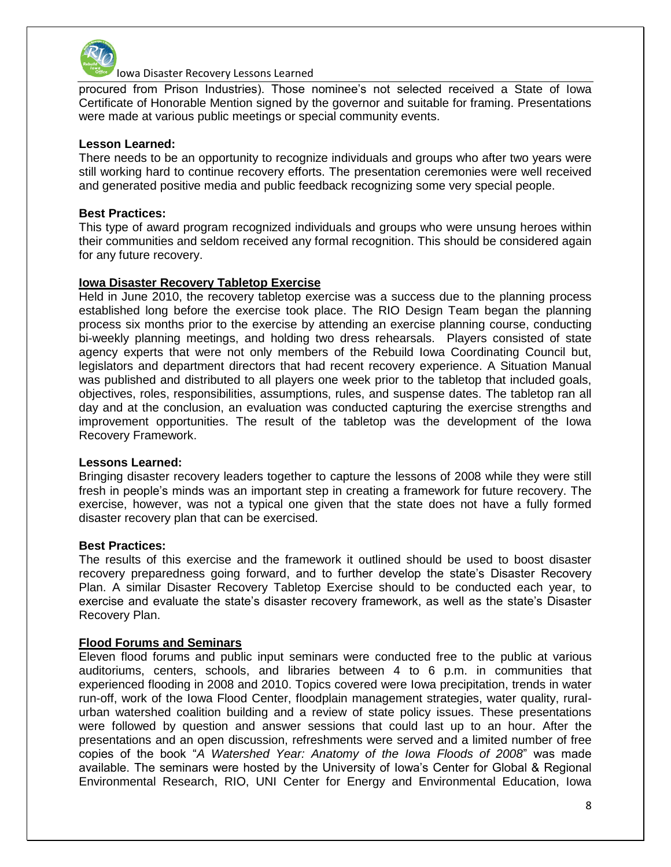

procured from Prison Industries). Those nominee's not selected received a State of Iowa Certificate of Honorable Mention signed by the governor and suitable for framing. Presentations were made at various public meetings or special community events.

## **Lesson Learned:**

There needs to be an opportunity to recognize individuals and groups who after two years were still working hard to continue recovery efforts. The presentation ceremonies were well received and generated positive media and public feedback recognizing some very special people.

## **Best Practices:**

This type of award program recognized individuals and groups who were unsung heroes within their communities and seldom received any formal recognition. This should be considered again for any future recovery.

## **Iowa Disaster Recovery Tabletop Exercise**

Held in June 2010, the recovery tabletop exercise was a success due to the planning process established long before the exercise took place. The RIO Design Team began the planning process six months prior to the exercise by attending an exercise planning course, conducting bi-weekly planning meetings, and holding two dress rehearsals. Players consisted of state agency experts that were not only members of the Rebuild Iowa Coordinating Council but, legislators and department directors that had recent recovery experience. A Situation Manual was published and distributed to all players one week prior to the tabletop that included goals, objectives, roles, responsibilities, assumptions, rules, and suspense dates. The tabletop ran all day and at the conclusion, an evaluation was conducted capturing the exercise strengths and improvement opportunities. The result of the tabletop was the development of the Iowa Recovery Framework.

#### **Lessons Learned:**

Bringing disaster recovery leaders together to capture the lessons of 2008 while they were still fresh in people's minds was an important step in creating a framework for future recovery. The exercise, however, was not a typical one given that the state does not have a fully formed disaster recovery plan that can be exercised.

#### **Best Practices:**

The results of this exercise and the framework it outlined should be used to boost disaster recovery preparedness going forward, and to further develop the state's Disaster Recovery Plan. A similar Disaster Recovery Tabletop Exercise should to be conducted each year, to exercise and evaluate the state's disaster recovery framework, as well as the state's Disaster Recovery Plan.

#### **Flood Forums and Seminars**

Eleven flood forums and public input seminars were conducted free to the public at various auditoriums, centers, schools, and libraries between 4 to 6 p.m. in communities that experienced flooding in 2008 and 2010. Topics covered were Iowa precipitation, trends in water run-off, work of the Iowa Flood Center, floodplain management strategies, water quality, ruralurban watershed coalition building and a review of state policy issues. These presentations were followed by question and answer sessions that could last up to an hour. After the presentations and an open discussion, refreshments were served and a limited number of free copies of the book "*A Watershed Year: Anatomy of the Iowa Floods of 2008*" was made available. The seminars were hosted by the University of Iowa's Center for Global & Regional Environmental Research, RIO, UNI Center for Energy and Environmental Education, Iowa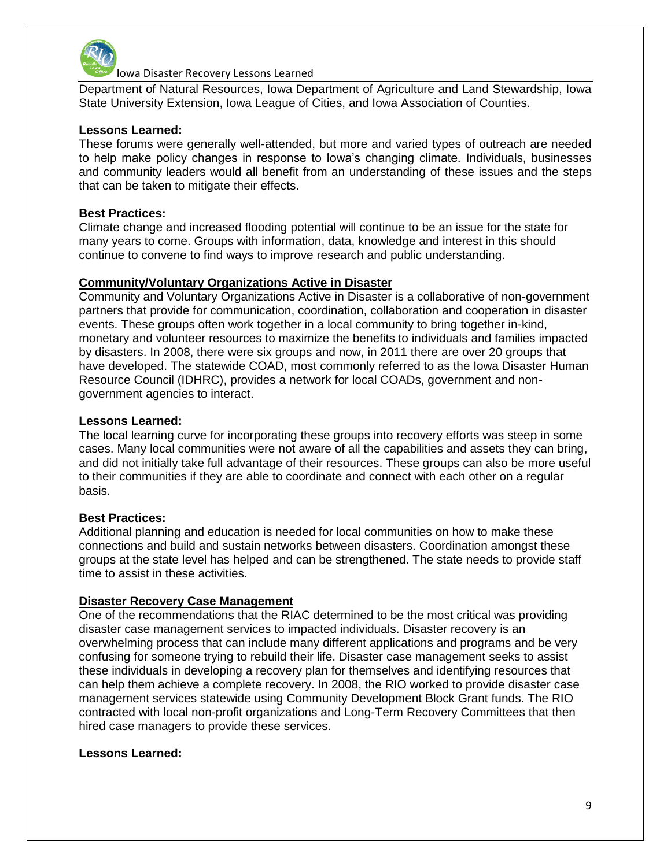

Department of Natural Resources, Iowa Department of Agriculture and Land Stewardship, Iowa State University Extension, Iowa League of Cities, and Iowa Association of Counties.

## **Lessons Learned:**

These forums were generally well-attended, but more and varied types of outreach are needed to help make policy changes in response to Iowa's changing climate. Individuals, businesses and community leaders would all benefit from an understanding of these issues and the steps that can be taken to mitigate their effects.

## **Best Practices:**

Climate change and increased flooding potential will continue to be an issue for the state for many years to come. Groups with information, data, knowledge and interest in this should continue to convene to find ways to improve research and public understanding.

## **Community/Voluntary Organizations Active in Disaster**

Community and Voluntary Organizations Active in Disaster is a collaborative of non-government partners that provide for communication, coordination, collaboration and cooperation in disaster events. These groups often work together in a local community to bring together in-kind, monetary and volunteer resources to maximize the benefits to individuals and families impacted by disasters. In 2008, there were six groups and now, in 2011 there are over 20 groups that have developed. The statewide COAD, most commonly referred to as the Iowa Disaster Human Resource Council (IDHRC), provides a network for local COADs, government and nongovernment agencies to interact.

#### **Lessons Learned:**

The local learning curve for incorporating these groups into recovery efforts was steep in some cases. Many local communities were not aware of all the capabilities and assets they can bring, and did not initially take full advantage of their resources. These groups can also be more useful to their communities if they are able to coordinate and connect with each other on a regular basis.

#### **Best Practices:**

Additional planning and education is needed for local communities on how to make these connections and build and sustain networks between disasters. Coordination amongst these groups at the state level has helped and can be strengthened. The state needs to provide staff time to assist in these activities.

# **Disaster Recovery Case Management**

One of the recommendations that the RIAC determined to be the most critical was providing disaster case management services to impacted individuals. Disaster recovery is an overwhelming process that can include many different applications and programs and be very confusing for someone trying to rebuild their life. Disaster case management seeks to assist these individuals in developing a recovery plan for themselves and identifying resources that can help them achieve a complete recovery. In 2008, the RIO worked to provide disaster case management services statewide using Community Development Block Grant funds. The RIO contracted with local non-profit organizations and Long-Term Recovery Committees that then hired case managers to provide these services.

# **Lessons Learned:**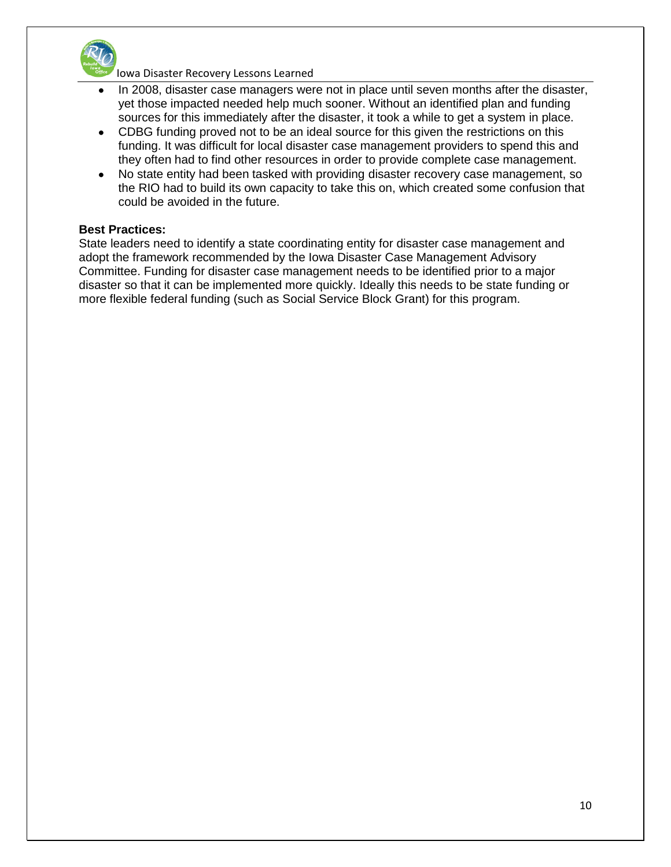

- In 2008, disaster case managers were not in place until seven months after the disaster, yet those impacted needed help much sooner. Without an identified plan and funding sources for this immediately after the disaster, it took a while to get a system in place.
- CDBG funding proved not to be an ideal source for this given the restrictions on this funding. It was difficult for local disaster case management providers to spend this and they often had to find other resources in order to provide complete case management.
- No state entity had been tasked with providing disaster recovery case management, so  $\bullet$ the RIO had to build its own capacity to take this on, which created some confusion that could be avoided in the future.

## **Best Practices:**

State leaders need to identify a state coordinating entity for disaster case management and adopt the framework recommended by the Iowa Disaster Case Management Advisory Committee. Funding for disaster case management needs to be identified prior to a major disaster so that it can be implemented more quickly. Ideally this needs to be state funding or more flexible federal funding (such as Social Service Block Grant) for this program.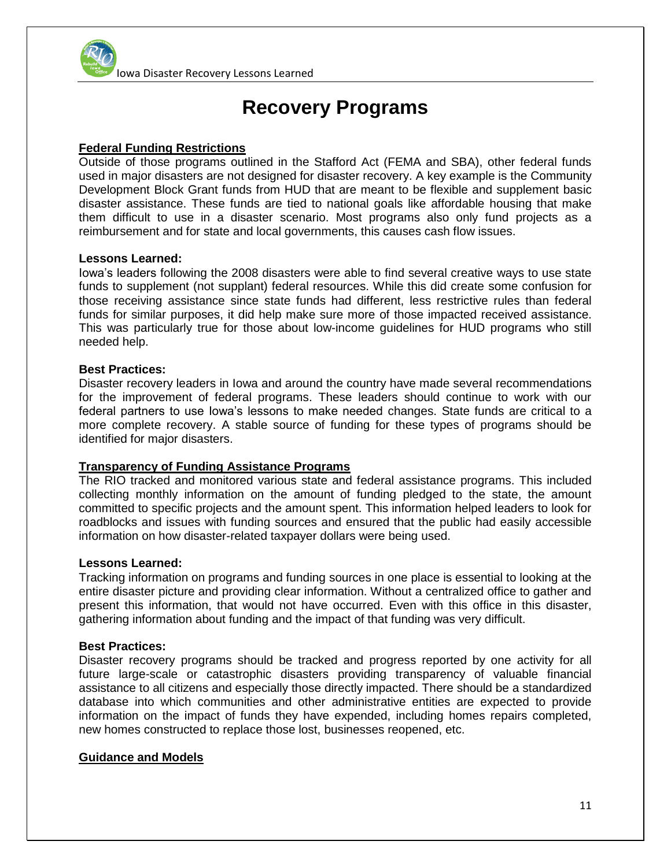

# **Recovery Programs**

# **Federal Funding Restrictions**

Outside of those programs outlined in the Stafford Act (FEMA and SBA), other federal funds used in major disasters are not designed for disaster recovery. A key example is the Community Development Block Grant funds from HUD that are meant to be flexible and supplement basic disaster assistance. These funds are tied to national goals like affordable housing that make them difficult to use in a disaster scenario. Most programs also only fund projects as a reimbursement and for state and local governments, this causes cash flow issues.

#### **Lessons Learned:**

Iowa's leaders following the 2008 disasters were able to find several creative ways to use state funds to supplement (not supplant) federal resources. While this did create some confusion for those receiving assistance since state funds had different, less restrictive rules than federal funds for similar purposes, it did help make sure more of those impacted received assistance. This was particularly true for those about low-income guidelines for HUD programs who still needed help.

## **Best Practices:**

Disaster recovery leaders in Iowa and around the country have made several recommendations for the improvement of federal programs. These leaders should continue to work with our federal partners to use Iowa's lessons to make needed changes. State funds are critical to a more complete recovery. A stable source of funding for these types of programs should be identified for major disasters.

#### **Transparency of Funding Assistance Programs**

The RIO tracked and monitored various state and federal assistance programs. This included collecting monthly information on the amount of funding pledged to the state, the amount committed to specific projects and the amount spent. This information helped leaders to look for roadblocks and issues with funding sources and ensured that the public had easily accessible information on how disaster-related taxpayer dollars were being used.

#### **Lessons Learned:**

Tracking information on programs and funding sources in one place is essential to looking at the entire disaster picture and providing clear information. Without a centralized office to gather and present this information, that would not have occurred. Even with this office in this disaster, gathering information about funding and the impact of that funding was very difficult.

#### **Best Practices:**

Disaster recovery programs should be tracked and progress reported by one activity for all future large-scale or catastrophic disasters providing transparency of valuable financial assistance to all citizens and especially those directly impacted. There should be a standardized database into which communities and other administrative entities are expected to provide information on the impact of funds they have expended, including homes repairs completed, new homes constructed to replace those lost, businesses reopened, etc.

#### **Guidance and Models**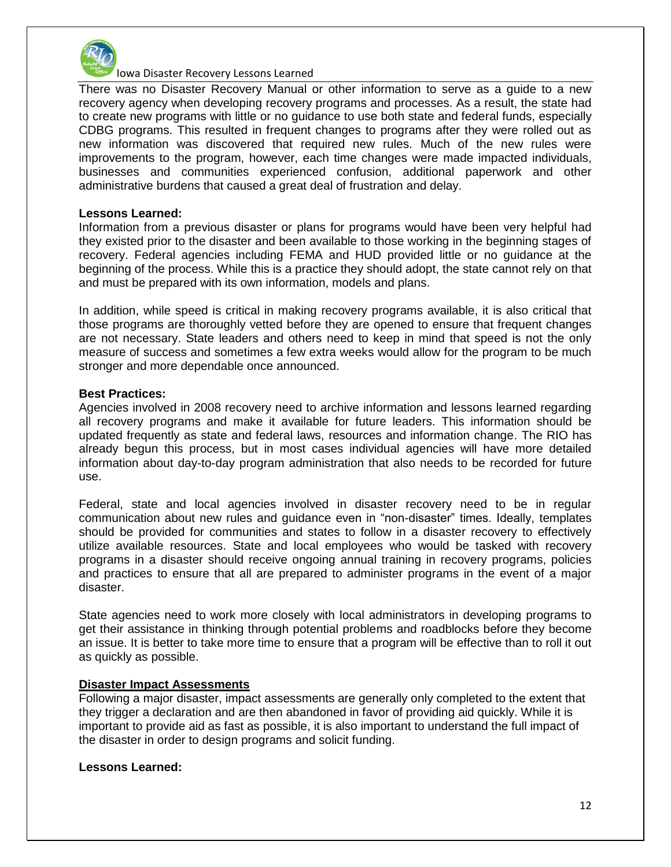

There was no Disaster Recovery Manual or other information to serve as a guide to a new recovery agency when developing recovery programs and processes. As a result, the state had to create new programs with little or no guidance to use both state and federal funds, especially CDBG programs. This resulted in frequent changes to programs after they were rolled out as new information was discovered that required new rules. Much of the new rules were improvements to the program, however, each time changes were made impacted individuals, businesses and communities experienced confusion, additional paperwork and other administrative burdens that caused a great deal of frustration and delay.

#### **Lessons Learned:**

Information from a previous disaster or plans for programs would have been very helpful had they existed prior to the disaster and been available to those working in the beginning stages of recovery. Federal agencies including FEMA and HUD provided little or no guidance at the beginning of the process. While this is a practice they should adopt, the state cannot rely on that and must be prepared with its own information, models and plans.

In addition, while speed is critical in making recovery programs available, it is also critical that those programs are thoroughly vetted before they are opened to ensure that frequent changes are not necessary. State leaders and others need to keep in mind that speed is not the only measure of success and sometimes a few extra weeks would allow for the program to be much stronger and more dependable once announced.

#### **Best Practices:**

Agencies involved in 2008 recovery need to archive information and lessons learned regarding all recovery programs and make it available for future leaders. This information should be updated frequently as state and federal laws, resources and information change. The RIO has already begun this process, but in most cases individual agencies will have more detailed information about day-to-day program administration that also needs to be recorded for future use.

Federal, state and local agencies involved in disaster recovery need to be in regular communication about new rules and guidance even in "non-disaster" times. Ideally, templates should be provided for communities and states to follow in a disaster recovery to effectively utilize available resources. State and local employees who would be tasked with recovery programs in a disaster should receive ongoing annual training in recovery programs, policies and practices to ensure that all are prepared to administer programs in the event of a major disaster.

State agencies need to work more closely with local administrators in developing programs to get their assistance in thinking through potential problems and roadblocks before they become an issue. It is better to take more time to ensure that a program will be effective than to roll it out as quickly as possible.

#### **Disaster Impact Assessments**

Following a major disaster, impact assessments are generally only completed to the extent that they trigger a declaration and are then abandoned in favor of providing aid quickly. While it is important to provide aid as fast as possible, it is also important to understand the full impact of the disaster in order to design programs and solicit funding.

#### **Lessons Learned:**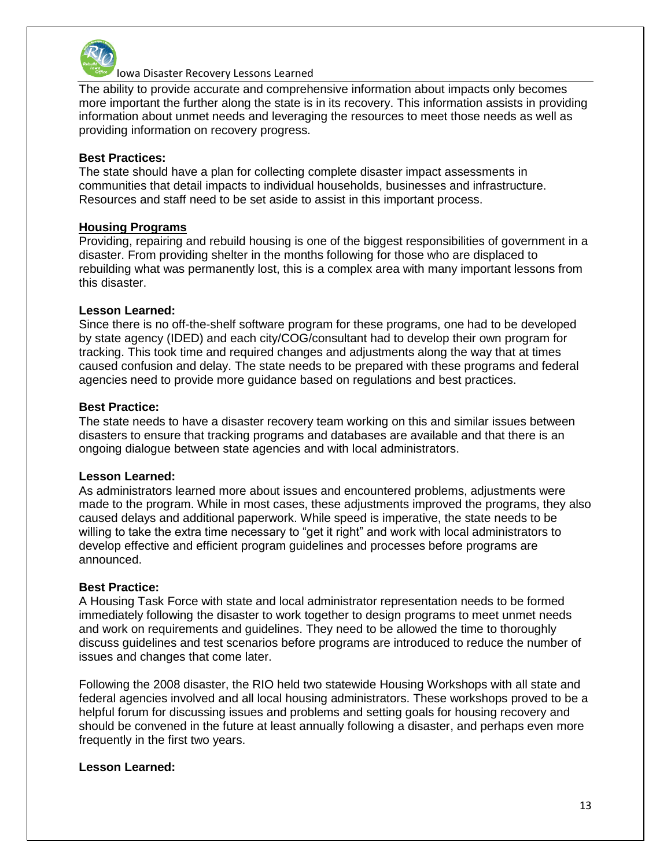

The ability to provide accurate and comprehensive information about impacts only becomes more important the further along the state is in its recovery. This information assists in providing information about unmet needs and leveraging the resources to meet those needs as well as providing information on recovery progress.

## **Best Practices:**

The state should have a plan for collecting complete disaster impact assessments in communities that detail impacts to individual households, businesses and infrastructure. Resources and staff need to be set aside to assist in this important process.

## **Housing Programs**

Providing, repairing and rebuild housing is one of the biggest responsibilities of government in a disaster. From providing shelter in the months following for those who are displaced to rebuilding what was permanently lost, this is a complex area with many important lessons from this disaster.

## **Lesson Learned:**

Since there is no off-the-shelf software program for these programs, one had to be developed by state agency (IDED) and each city/COG/consultant had to develop their own program for tracking. This took time and required changes and adjustments along the way that at times caused confusion and delay. The state needs to be prepared with these programs and federal agencies need to provide more guidance based on regulations and best practices.

## **Best Practice:**

The state needs to have a disaster recovery team working on this and similar issues between disasters to ensure that tracking programs and databases are available and that there is an ongoing dialogue between state agencies and with local administrators.

#### **Lesson Learned:**

As administrators learned more about issues and encountered problems, adjustments were made to the program. While in most cases, these adjustments improved the programs, they also caused delays and additional paperwork. While speed is imperative, the state needs to be willing to take the extra time necessary to "get it right" and work with local administrators to develop effective and efficient program guidelines and processes before programs are announced.

# **Best Practice:**

A Housing Task Force with state and local administrator representation needs to be formed immediately following the disaster to work together to design programs to meet unmet needs and work on requirements and guidelines. They need to be allowed the time to thoroughly discuss guidelines and test scenarios before programs are introduced to reduce the number of issues and changes that come later.

Following the 2008 disaster, the RIO held two statewide Housing Workshops with all state and federal agencies involved and all local housing administrators. These workshops proved to be a helpful forum for discussing issues and problems and setting goals for housing recovery and should be convened in the future at least annually following a disaster, and perhaps even more frequently in the first two years.

# **Lesson Learned:**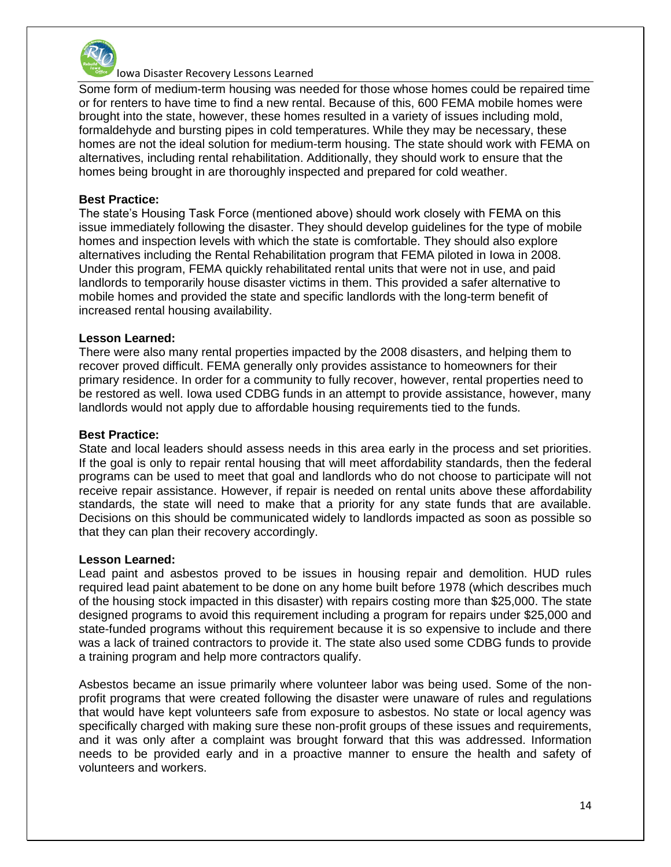

Some form of medium-term housing was needed for those whose homes could be repaired time or for renters to have time to find a new rental. Because of this, 600 FEMA mobile homes were brought into the state, however, these homes resulted in a variety of issues including mold, formaldehyde and bursting pipes in cold temperatures. While they may be necessary, these homes are not the ideal solution for medium-term housing. The state should work with FEMA on alternatives, including rental rehabilitation. Additionally, they should work to ensure that the homes being brought in are thoroughly inspected and prepared for cold weather.

#### **Best Practice:**

The state's Housing Task Force (mentioned above) should work closely with FEMA on this issue immediately following the disaster. They should develop guidelines for the type of mobile homes and inspection levels with which the state is comfortable. They should also explore alternatives including the Rental Rehabilitation program that FEMA piloted in Iowa in 2008. Under this program, FEMA quickly rehabilitated rental units that were not in use, and paid landlords to temporarily house disaster victims in them. This provided a safer alternative to mobile homes and provided the state and specific landlords with the long-term benefit of increased rental housing availability.

## **Lesson Learned:**

There were also many rental properties impacted by the 2008 disasters, and helping them to recover proved difficult. FEMA generally only provides assistance to homeowners for their primary residence. In order for a community to fully recover, however, rental properties need to be restored as well. Iowa used CDBG funds in an attempt to provide assistance, however, many landlords would not apply due to affordable housing requirements tied to the funds.

#### **Best Practice:**

State and local leaders should assess needs in this area early in the process and set priorities. If the goal is only to repair rental housing that will meet affordability standards, then the federal programs can be used to meet that goal and landlords who do not choose to participate will not receive repair assistance. However, if repair is needed on rental units above these affordability standards, the state will need to make that a priority for any state funds that are available. Decisions on this should be communicated widely to landlords impacted as soon as possible so that they can plan their recovery accordingly.

#### **Lesson Learned:**

Lead paint and asbestos proved to be issues in housing repair and demolition. HUD rules required lead paint abatement to be done on any home built before 1978 (which describes much of the housing stock impacted in this disaster) with repairs costing more than \$25,000. The state designed programs to avoid this requirement including a program for repairs under \$25,000 and state-funded programs without this requirement because it is so expensive to include and there was a lack of trained contractors to provide it. The state also used some CDBG funds to provide a training program and help more contractors qualify.

Asbestos became an issue primarily where volunteer labor was being used. Some of the nonprofit programs that were created following the disaster were unaware of rules and regulations that would have kept volunteers safe from exposure to asbestos. No state or local agency was specifically charged with making sure these non-profit groups of these issues and requirements, and it was only after a complaint was brought forward that this was addressed. Information needs to be provided early and in a proactive manner to ensure the health and safety of volunteers and workers.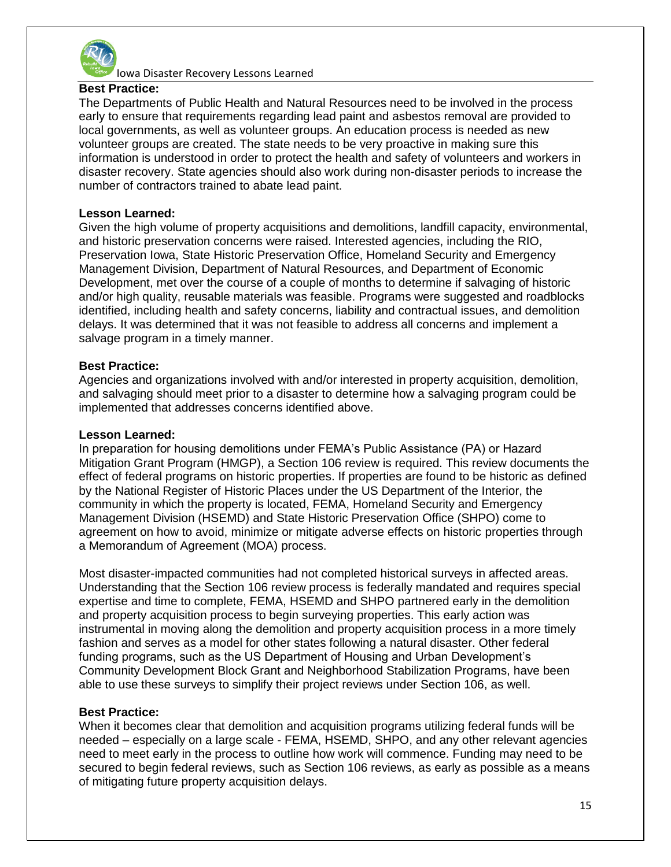

## **Best Practice:**

The Departments of Public Health and Natural Resources need to be involved in the process early to ensure that requirements regarding lead paint and asbestos removal are provided to local governments, as well as volunteer groups. An education process is needed as new volunteer groups are created. The state needs to be very proactive in making sure this information is understood in order to protect the health and safety of volunteers and workers in disaster recovery. State agencies should also work during non-disaster periods to increase the number of contractors trained to abate lead paint.

#### **Lesson Learned:**

Given the high volume of property acquisitions and demolitions, landfill capacity, environmental, and historic preservation concerns were raised. Interested agencies, including the RIO, Preservation Iowa, State Historic Preservation Office, Homeland Security and Emergency Management Division, Department of Natural Resources, and Department of Economic Development, met over the course of a couple of months to determine if salvaging of historic and/or high quality, reusable materials was feasible. Programs were suggested and roadblocks identified, including health and safety concerns, liability and contractual issues, and demolition delays. It was determined that it was not feasible to address all concerns and implement a salvage program in a timely manner.

## **Best Practice:**

Agencies and organizations involved with and/or interested in property acquisition, demolition, and salvaging should meet prior to a disaster to determine how a salvaging program could be implemented that addresses concerns identified above.

#### **Lesson Learned:**

In preparation for housing demolitions under FEMA's Public Assistance (PA) or Hazard Mitigation Grant Program (HMGP), a Section 106 review is required. This review documents the effect of federal programs on historic properties. If properties are found to be historic as defined by the National Register of Historic Places under the US Department of the Interior, the community in which the property is located, FEMA, Homeland Security and Emergency Management Division (HSEMD) and State Historic Preservation Office (SHPO) come to agreement on how to avoid, minimize or mitigate adverse effects on historic properties through a Memorandum of Agreement (MOA) process.

Most disaster-impacted communities had not completed historical surveys in affected areas. Understanding that the Section 106 review process is federally mandated and requires special expertise and time to complete, FEMA, HSEMD and SHPO partnered early in the demolition and property acquisition process to begin surveying properties. This early action was instrumental in moving along the demolition and property acquisition process in a more timely fashion and serves as a model for other states following a natural disaster. Other federal funding programs, such as the US Department of Housing and Urban Development's Community Development Block Grant and Neighborhood Stabilization Programs, have been able to use these surveys to simplify their project reviews under Section 106, as well.

# **Best Practice:**

When it becomes clear that demolition and acquisition programs utilizing federal funds will be needed – especially on a large scale - FEMA, HSEMD, SHPO, and any other relevant agencies need to meet early in the process to outline how work will commence. Funding may need to be secured to begin federal reviews, such as Section 106 reviews, as early as possible as a means of mitigating future property acquisition delays.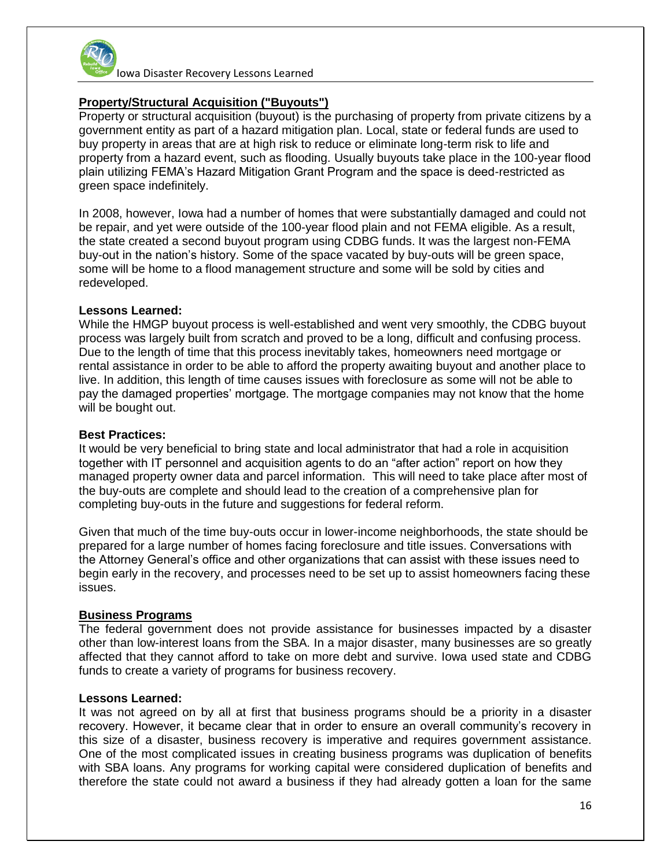

# **Property/Structural Acquisition ("Buyouts")**

Property or structural acquisition (buyout) is the purchasing of property from private citizens by a government entity as part of a hazard mitigation plan. Local, state or federal funds are used to buy property in areas that are at high risk to reduce or eliminate long-term risk to life and property from a hazard event, such as flooding. Usually buyouts take place in the 100-year flood plain utilizing FEMA's Hazard Mitigation Grant Program and the space is deed-restricted as green space indefinitely.

In 2008, however, Iowa had a number of homes that were substantially damaged and could not be repair, and yet were outside of the 100-year flood plain and not FEMA eligible. As a result, the state created a second buyout program using CDBG funds. It was the largest non-FEMA buy-out in the nation's history. Some of the space vacated by buy-outs will be green space, some will be home to a flood management structure and some will be sold by cities and redeveloped.

## **Lessons Learned:**

While the HMGP buyout process is well-established and went very smoothly, the CDBG buyout process was largely built from scratch and proved to be a long, difficult and confusing process. Due to the length of time that this process inevitably takes, homeowners need mortgage or rental assistance in order to be able to afford the property awaiting buyout and another place to live. In addition, this length of time causes issues with foreclosure as some will not be able to pay the damaged properties' mortgage. The mortgage companies may not know that the home will be bought out.

#### **Best Practices:**

It would be very beneficial to bring state and local administrator that had a role in acquisition together with IT personnel and acquisition agents to do an "after action" report on how they managed property owner data and parcel information. This will need to take place after most of the buy-outs are complete and should lead to the creation of a comprehensive plan for completing buy-outs in the future and suggestions for federal reform.

Given that much of the time buy-outs occur in lower-income neighborhoods, the state should be prepared for a large number of homes facing foreclosure and title issues. Conversations with the Attorney General's office and other organizations that can assist with these issues need to begin early in the recovery, and processes need to be set up to assist homeowners facing these issues.

# **Business Programs**

The federal government does not provide assistance for businesses impacted by a disaster other than low-interest loans from the SBA. In a major disaster, many businesses are so greatly affected that they cannot afford to take on more debt and survive. Iowa used state and CDBG funds to create a variety of programs for business recovery.

#### **Lessons Learned:**

It was not agreed on by all at first that business programs should be a priority in a disaster recovery. However, it became clear that in order to ensure an overall community's recovery in this size of a disaster, business recovery is imperative and requires government assistance. One of the most complicated issues in creating business programs was duplication of benefits with SBA loans. Any programs for working capital were considered duplication of benefits and therefore the state could not award a business if they had already gotten a loan for the same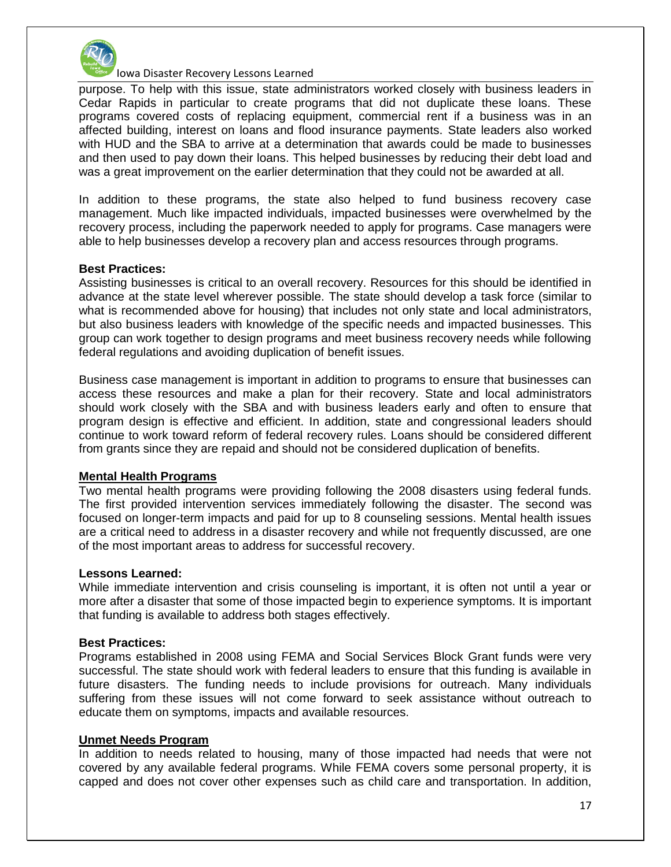

purpose. To help with this issue, state administrators worked closely with business leaders in Cedar Rapids in particular to create programs that did not duplicate these loans. These programs covered costs of replacing equipment, commercial rent if a business was in an affected building, interest on loans and flood insurance payments. State leaders also worked with HUD and the SBA to arrive at a determination that awards could be made to businesses and then used to pay down their loans. This helped businesses by reducing their debt load and was a great improvement on the earlier determination that they could not be awarded at all.

In addition to these programs, the state also helped to fund business recovery case management. Much like impacted individuals, impacted businesses were overwhelmed by the recovery process, including the paperwork needed to apply for programs. Case managers were able to help businesses develop a recovery plan and access resources through programs.

#### **Best Practices:**

Assisting businesses is critical to an overall recovery. Resources for this should be identified in advance at the state level wherever possible. The state should develop a task force (similar to what is recommended above for housing) that includes not only state and local administrators, but also business leaders with knowledge of the specific needs and impacted businesses. This group can work together to design programs and meet business recovery needs while following federal regulations and avoiding duplication of benefit issues.

Business case management is important in addition to programs to ensure that businesses can access these resources and make a plan for their recovery. State and local administrators should work closely with the SBA and with business leaders early and often to ensure that program design is effective and efficient. In addition, state and congressional leaders should continue to work toward reform of federal recovery rules. Loans should be considered different from grants since they are repaid and should not be considered duplication of benefits.

#### **Mental Health Programs**

Two mental health programs were providing following the 2008 disasters using federal funds. The first provided intervention services immediately following the disaster. The second was focused on longer-term impacts and paid for up to 8 counseling sessions. Mental health issues are a critical need to address in a disaster recovery and while not frequently discussed, are one of the most important areas to address for successful recovery.

#### **Lessons Learned:**

While immediate intervention and crisis counseling is important, it is often not until a year or more after a disaster that some of those impacted begin to experience symptoms. It is important that funding is available to address both stages effectively.

#### **Best Practices:**

Programs established in 2008 using FEMA and Social Services Block Grant funds were very successful. The state should work with federal leaders to ensure that this funding is available in future disasters. The funding needs to include provisions for outreach. Many individuals suffering from these issues will not come forward to seek assistance without outreach to educate them on symptoms, impacts and available resources.

#### **Unmet Needs Program**

In addition to needs related to housing, many of those impacted had needs that were not covered by any available federal programs. While FEMA covers some personal property, it is capped and does not cover other expenses such as child care and transportation. In addition,